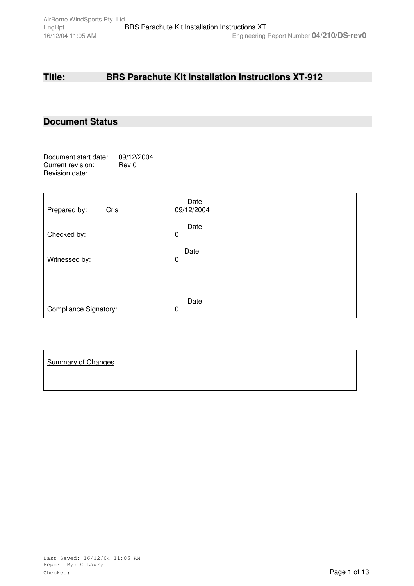# **Title: BRS Parachute Kit Installation Instructions XT-912**

## **Document Status**

Document start date: 09/12/2004<br>Current revision: Rev 0 Current revision: Revision date:

| Cris<br>Prepared by:         | Date<br>09/12/2004 |
|------------------------------|--------------------|
| Checked by:                  | Date<br>0          |
| Witnessed by:                | Date<br>0          |
|                              |                    |
| <b>Compliance Signatory:</b> | Date<br>0          |

| <b>Summary of Changes</b> |  |  |  |
|---------------------------|--|--|--|
|                           |  |  |  |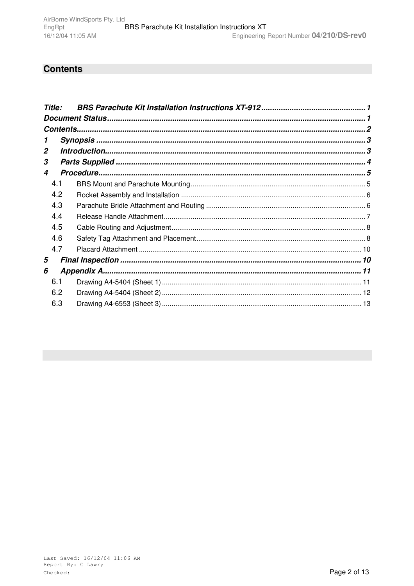# **Contents**

| <b>Title:</b> |     |  |
|---------------|-----|--|
|               |     |  |
|               |     |  |
|               |     |  |
| 2             |     |  |
| 3             |     |  |
| 4             |     |  |
|               | 4.1 |  |
|               | 4.2 |  |
|               | 4.3 |  |
|               | 4.4 |  |
|               | 4.5 |  |
|               | 4.6 |  |
|               | 4.7 |  |
| 5             |     |  |
| 6             |     |  |
|               | 6.1 |  |
|               | 6.2 |  |
|               | 6.3 |  |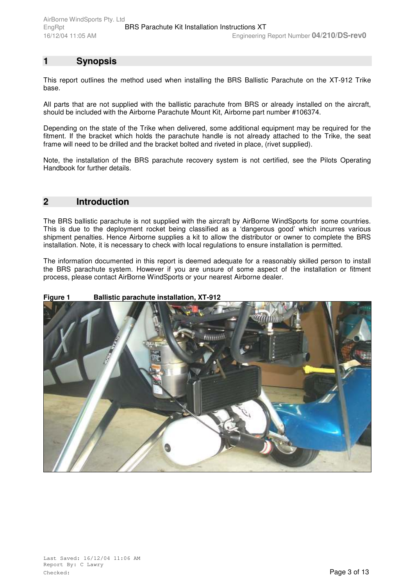# **1 Synopsis**

This report outlines the method used when installing the BRS Ballistic Parachute on the XT-912 Trike base.

All parts that are not supplied with the ballistic parachute from BRS or already installed on the aircraft, should be included with the Airborne Parachute Mount Kit, Airborne part number #106374.

Depending on the state of the Trike when delivered, some additional equipment may be required for the fitment. If the bracket which holds the parachute handle is not already attached to the Trike, the seat frame will need to be drilled and the bracket bolted and riveted in place, (rivet supplied).

Note, the installation of the BRS parachute recovery system is not certified, see the Pilots Operating Handbook for further details.

#### **2 Introduction**

The BRS ballistic parachute is not supplied with the aircraft by AirBorne WindSports for some countries. This is due to the deployment rocket being classified as a 'dangerous good' which incurres various shipment penalties. Hence Airborne supplies a kit to allow the distributor or owner to complete the BRS installation. Note, it is necessary to check with local regulations to ensure installation is permitted.

The information documented in this report is deemed adequate for a reasonably skilled person to install the BRS parachute system. However if you are unsure of some aspect of the installation or fitment process, please contact AirBorne WindSports or your nearest Airborne dealer.

#### **Figure 1 Ballistic parachute installation, XT-912**

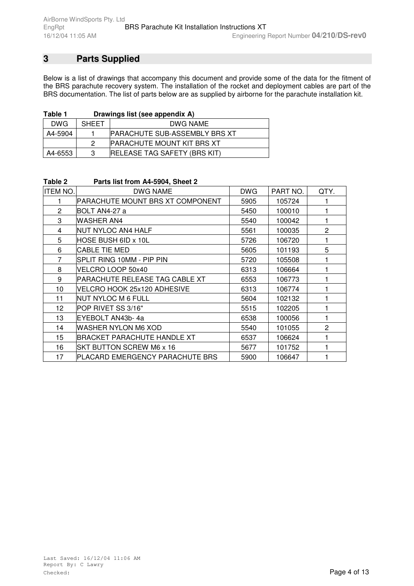# **3 Parts Supplied**

Below is a list of drawings that accompany this document and provide some of the data for the fitment of the BRS parachute recovery system. The installation of the rocket and deployment cables are part of the BRS documentation. The list of parts below are as supplied by airborne for the parachute installation kit.

| Table 1 |  | Drawings list (see appendix A) |
|---------|--|--------------------------------|
|---------|--|--------------------------------|

| DWG     | <b>SHEET</b> | DWG NAME                              |  |  |
|---------|--------------|---------------------------------------|--|--|
| A4-5904 |              | <b>IPARACHUTE SUB-ASSEMBLY BRS XT</b> |  |  |
|         | 2            | <b>PARACHUTE MOUNT KIT BRS XT</b>     |  |  |
| A4-6553 | 3            | <b>IRELEASE TAG SAFETY (BRS KIT)</b>  |  |  |

| Table Z         | $P_{\alpha}$ ils iist IIOIII A4-3904, Sileet Z |            |          |                |
|-----------------|------------------------------------------------|------------|----------|----------------|
| <b>ITEM NO.</b> | <b>DWG NAME</b>                                | <b>DWG</b> | PART NO. | QTY.           |
|                 | PARACHUTE MOUNT BRS XT COMPONENT               | 5905       | 105724   |                |
| $\mathbf{2}$    | BOLT AN4-27 a                                  | 5450       | 100010   |                |
| 3               | <b>WASHER AN4</b>                              | 5540       | 100042   |                |
| 4               | NUT NYLOC AN4 HALF                             | 5561       | 100035   | $\overline{2}$ |
| 5               | HOSE BUSH 6ID x 10L                            | 5726       | 106720   |                |
| 6               | <b>CABLE TIE MED</b>                           | 5605       | 101193   | 5              |
| $\overline{7}$  | SPLIT RING 10MM - PIP PIN                      | 5720       | 105508   |                |
| 8               | VELCRO LOOP 50x40                              | 6313       | 106664   |                |
| 9               | PARACHUTE RELEASE TAG CABLE XT                 | 6553       | 106773   |                |
| 10              | VELCRO HOOK 25x120 ADHESIVE                    | 6313       | 106774   |                |
| 11              | NUT NYLOC M 6 FULL                             | 5604       | 102132   |                |
| 12              | POP RIVET SS 3/16"                             | 5515       | 102205   |                |
| 13              | EYEBOLT AN43b-4a                               | 6538       | 100056   | 1              |
| 14              | WASHER NYLON M6 XOD                            | 5540       | 101055   | $\mathbf{2}$   |
| 15              | BRACKET PARACHUTE HANDLE XT                    | 6537       | 106624   |                |
| 16              | SKT BUTTON SCREW M6 x 16                       | 5677       | 101752   |                |
| 17              | PLACARD EMERGENCY PARACHUTE BRS                | 5900       | 106647   |                |

## **Table 2 Parts list from A4-5904, Sheet 2**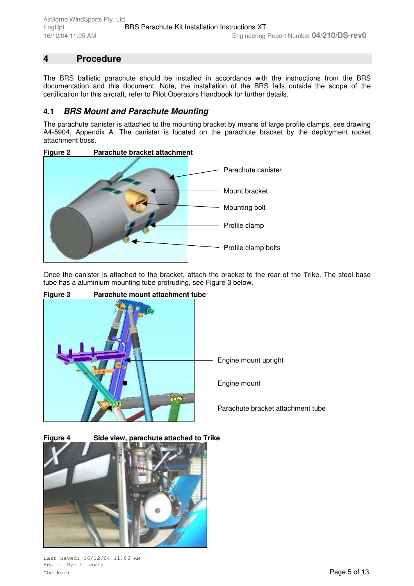# **4 Procedure**

The BRS ballistic parachute should be installed in accordance with the instructions from the BRS documentation and this document. Note, the installation of the BRS falls outside the scope of the certification for this aircraft, refer to Pilot Operators Handbook for further details.

### **4.1** *BRS Mount and Parachute Mounting*

The parachute canister is attached to the mounting bracket by means of large profile clamps, see drawing A4-5904, Appendix A. The canister is located on the parachute bracket by the deployment rocket attachment boss.



Once the canister is attached to the bracket, attach the bracket to the rear of the Trike. The steel base tube has a aluminium mounting tube protruding, see Figure 3 below.



**Figure 4 Side view, parachute attached to Trike**



Last Saved: 16/12/04 11:06 AM Report By: C Lawry **Checked:** Page 5 of 13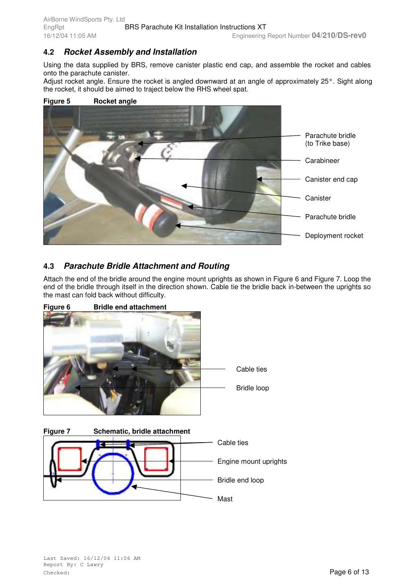### **4.2** *Rocket Assembly and Installation*

Using the data supplied by BRS, remove canister plastic end cap, and assemble the rocket and cables onto the parachute canister.

Adjust rocket angle. Ensure the rocket is angled downward at an angle of approximately 25°. Sight along the rocket, it should be aimed to traject below the RHS wheel spat.

#### **Figure 5 Rocket angle**



## **4.3** *Parachute Bridle Attachment and Routing*

Attach the end of the bridle around the engine mount uprights as shown in Figure 6 and Figure 7. Loop the end of the bridle through itself in the direction shown. Cable tie the bridle back in-between the uprights so the mast can fold back without difficulty.



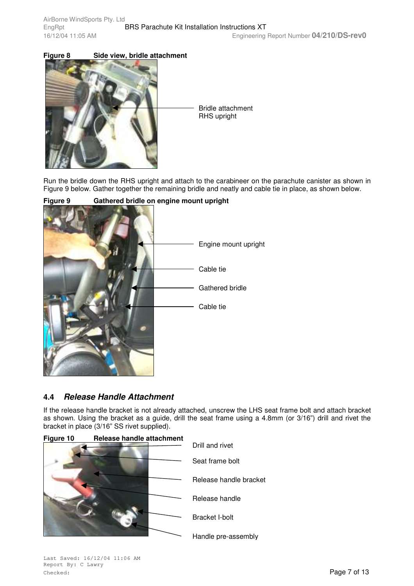### **Figure 8 Side view, bridle attachment**



Bridle attachment RHS upright

Run the bridle down the RHS upright and attach to the carabineer on the parachute canister as shown in Figure 9 below. Gather together the remaining bridle and neatly and cable tie in place, as shown below.



#### **Figure 9 Gathered bridle on engine mount upright**

#### **4.4** *Release Handle Attachment*

If the release handle bracket is not already attached, unscrew the LHS seat frame bolt and attach bracket as shown. Using the bracket as a guide, drill the seat frame using a 4.8mm (or 3/16") drill and rivet the bracket in place (3/16" SS rivet supplied).

| Figure 10 |  | Release handle attachment |  |
|-----------|--|---------------------------|--|
|           |  |                           |  |
|           |  |                           |  |

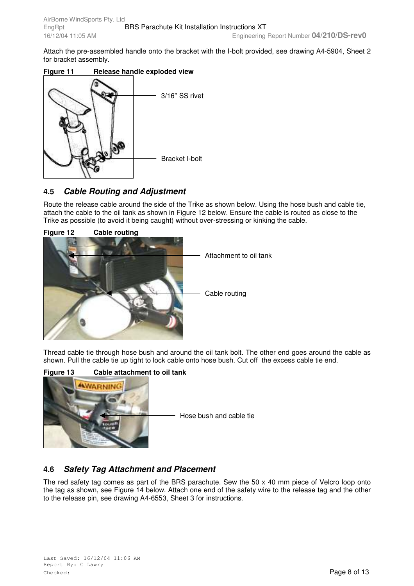Attach the pre-assembled handle onto the bracket with the I-bolt provided, see drawing A4-5904, Sheet 2 for bracket assembly.

#### **Figure 11 Release handle exploded view**



## **4.5** *Cable Routing and Adjustment*

Route the release cable around the side of the Trike as shown below. Using the hose bush and cable tie, attach the cable to the oil tank as shown in Figure 12 below. Ensure the cable is routed as close to the Trike as possible (to avoid it being caught) without over-stressing or kinking the cable.



Thread cable tie through hose bush and around the oil tank bolt. The other end goes around the cable as shown. Pull the cable tie up tight to lock cable onto hose bush. Cut off the excess cable tie end.

#### **Figure 13 Cable attachment to oil tank**



Hose bush and cable tie

#### **4.6** *Safety Tag Attachment and Placement*

The red safety tag comes as part of the BRS parachute. Sew the 50 x 40 mm piece of Velcro loop onto the tag as shown, see Figure 14 below. Attach one end of the safety wire to the release tag and the other to the release pin, see drawing A4-6553, Sheet 3 for instructions.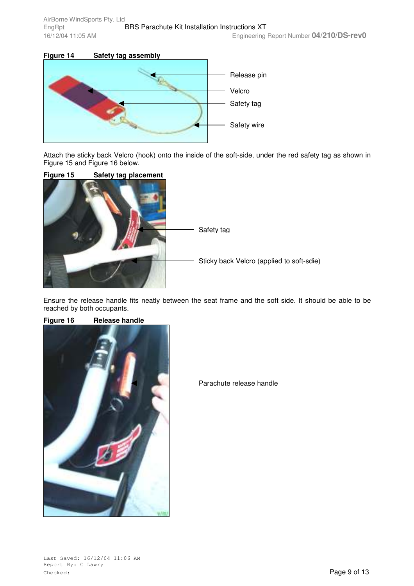

Attach the sticky back Velcro (hook) onto the inside of the soft-side, under the red safety tag as shown in Figure 15 and Figure 16 below.



Ensure the release handle fits neatly between the seat frame and the soft side. It should be able to be reached by both occupants.

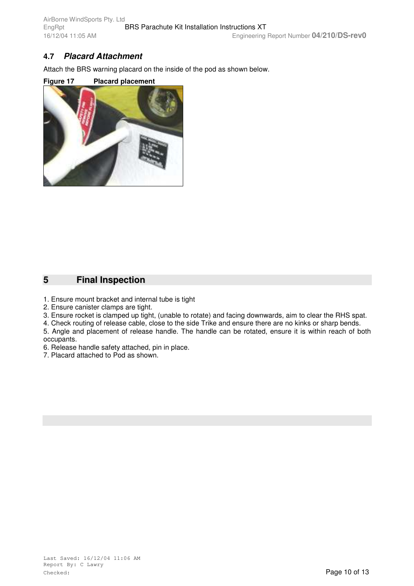## **4.7** *Placard Attachment*

Attach the BRS warning placard on the inside of the pod as shown below.

#### **Figure 17 Placard placement**



# **5 Final Inspection**

- 1. Ensure mount bracket and internal tube is tight
- 2. Ensure canister clamps are tight.
- 3. Ensure rocket is clamped up tight, (unable to rotate) and facing downwards, aim to clear the RHS spat.
- 4. Check routing of release cable, close to the side Trike and ensure there are no kinks or sharp bends.
- 5. Angle and placement of release handle. The handle can be rotated, ensure it is within reach of both occupants.
- 6. Release handle safety attached, pin in place.
- 7. Placard attached to Pod as shown.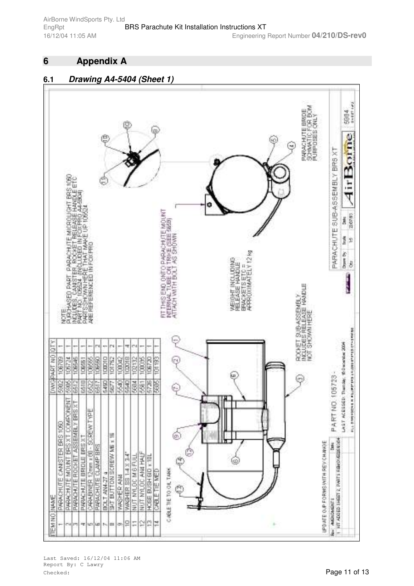# **6 Appendix A**

#### **6.1** *Drawing A4-5404 (Sheet 1)*



Last Saved: 16/12/04 11:06 AM Report By: C Lawry Checked: Page 11 of 13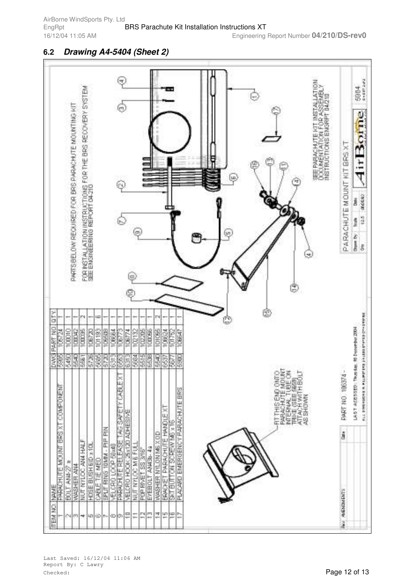### **6.2** *Drawing A4-5404 (Sheet 2)*